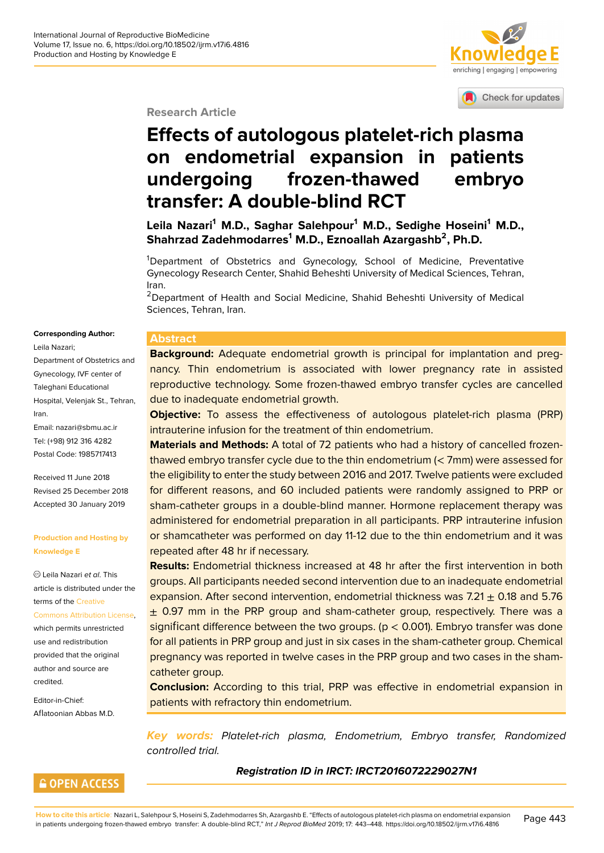# enriching | engaging | empowering

#### Check for updates

#### **Research Article**

# **Effects of autologous platelet-ri[ch](http://www.knowledgee.com) [plasma](http://crossmark.crossref.org/dialog/?doi=10.18502/ijrm.v17i6.4816&domain=pdf&date_stamp=2018-01-27) on endometrial expansion in patients undergoing frozen-thawed embryo transfer: A double-blind RCT**

**Leila Nazari<sup>1</sup> M.D., Saghar Salehpour<sup>1</sup> M.D., Sedighe Hoseini<sup>1</sup> M.D., Shahrzad Zadehmodarres<sup>1</sup> M.D., Eznoallah Azargashb<sup>2</sup> , Ph.D.**

<sup>1</sup>Department of Obstetrics and Gynecology, School of Medicine, Preventative Gynecology Research Center, Shahid Beheshti University of Medical Sciences, Tehran, Iran.

<sup>2</sup>Department of Health and Social Medicine, Shahid Beheshti University of Medical Sciences, Tehran, Iran.

#### **Corresponding Author:**

Leila Nazari; Department of Obstetrics and Gynecology, IVF center of Taleghani Educational Hospital, Velenjak St., Tehran, Iran. Email: nazari@sbmu.ac.ir Tel: (+98) 912 316 4282

Postal Code: 1985717413

Recei[ved 11 June 2018](mailto:nazari@sbmu.ac.ir) Revised 25 December 2018 Accepted 30 January 2019

#### **Production and Hosting by Knowledge E**

Leila Nazari *et al*. This article is distributed under the terms of the Creative Commons Attribution License,

which permits unrestricted use and redistribution provided th[at the orig](https://creativecommons.org/licenses/by/4.0/)inal [author and source are](https://creativecommons.org/licenses/by/4.0/) credited.

Editor-in-Chief: Aflatoonian Abbas M.D.

#### **Abstract**

**Background:** Adequate endometrial growth is principal for implantation and pregnancy. Thin endometrium is associated with lower pregnancy rate in assisted reproductive technology. Some frozen-thawed embryo transfer cycles are cancelled due to inadequate endometrial growth.

**Objective:** To assess the effectiveness of autologous platelet-rich plasma (PRP) intrauterine infusion for the treatment of thin endometrium.

**Materials and Methods:** A total of 72 patients who had a history of cancelled frozenthawed embryo transfer cycle due to the thin endometrium (< 7mm) were assessed for the eligibility to enter the study between 2016 and 2017. Twelve patients were excluded for different reasons, and 60 included patients were randomly assigned to PRP or sham-catheter groups in a double-blind manner. Hormone replacement therapy was administered for endometrial preparation in all participants. PRP intrauterine infusion or shamcatheter was performed on day 11-12 due to the thin endometrium and it was repeated after 48 hr if necessary.

**Results:** Endometrial thickness increased at 48 hr after the first intervention in both groups. All participants needed second intervention due to an inadequate endometrial expansion. After second intervention, endometrial thickness was  $7.21 \pm 0.18$  and 5.76  $\pm$  0.97 mm in the PRP group and sham-catheter group, respectively. There was a significant difference between the two groups. ( $p < 0.001$ ). Embryo transfer was done for all patients in PRP group and just in six cases in the sham-catheter group. Chemical pregnancy was reported in twelve cases in the PRP group and two cases in the shamcatheter group.

**Conclusion:** According to this trial, PRP was effective in endometrial expansion in patients with refractory thin endometrium.

*Key words: Platelet-rich plasma, Endometrium, Embryo transfer, Randomized controlled trial.*

#### *Registration ID in IRCT: IRCT2016072229027N1*

**GOPEN ACCESS** 

**How to cite this article**: Nazari L, Salehpour S, Hoseini S, Zadehmodarres Sh, Azargashb E. "Effects of autologous platelet-rich plasma on endometrial expansion How to cite this article: Nazari L, Salehpour S, Hoseini S, Zadehmodarres Sh, Azargashb E. "Effects of autologous platelet-rich plasma on endometrial expansion Page 443<br>In patients undergoing frozen-thawed embryo transfer: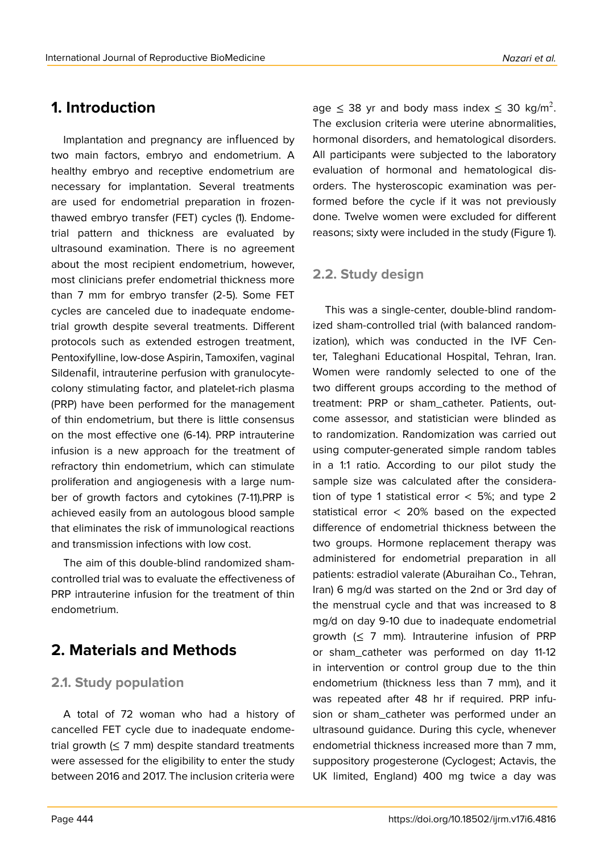## **1. Introduction**

Implantation and pregnancy are influenced by two main factors, embryo and endometrium. A healthy embryo and receptive endometrium are necessary for implantation. Several treatments are used for endometrial preparation in frozenthawed embryo transfer (FET) cycles (1). Endometrial pattern and thickness are evaluated by ultrasound examination. There is no agreement about the most recipient endometrium, however, most clinicians prefer endometrial thickness more than 7 mm for embryo transfer (2-5). Some FET cycles are canceled due to inadequate endometrial growth despite several treatments. Different protocols such as extended estrogen treatment, Pentoxifylline, low-dose Aspirin, Tamoxifen, vaginal Sildenafil, intrauterine perfusion with granulocytecolony stimulating factor, and platelet-rich plasma (PRP) have been performed for the management of thin endometrium, but there is little consensus on the most effective one (6-14). PRP intrauterine infusion is a new approach for the treatment of refractory thin endometrium, which can stimulate proliferation and angiogenesis with a large number of growth factors and cytokines (7-11).PRP is achieved easily from an autologous blood sample that eliminates the risk of immunological reactions and transmission infections with low cost.

The aim of this double-blind randomized shamcontrolled trial was to evaluate the effectiveness of PRP intrauterine infusion for the treatment of thin endometrium.

## **2. Materials and Methods**

### **2.1. Study population**

A total of 72 woman who had a history of cancelled FET cycle due to inadequate endometrial growth  $(\leq 7 \text{ mm})$  despite standard treatments were assessed for the eligibility to enter the study between 2016 and 2017. The inclusion criteria were

age  $\leq$  38 yr and body mass index  $\leq$  30 kg/m<sup>2</sup>. The exclusion criteria were uterine abnormalities, hormonal disorders, and hematological disorders. All participants were subjected to the laboratory evaluation of hormonal and hematological disorders. The hysteroscopic examination was performed before the cycle if it was not previously done. Twelve women were excluded for different reasons; sixty were included in the study (Figure 1).

### **2.2. Study design**

This was a single-center, double-blind randomized sham-controlled trial (with balanced randomization), which was conducted in the IVF Center, Taleghani Educational Hospital, Tehran, Iran. Women were randomly selected to one of the two different groups according to the method of treatment: PRP or sham\_catheter. Patients, outcome assessor, and statistician were blinded as to randomization. Randomization was carried out using computer-generated simple random tables in a 1:1 ratio. According to our pilot study the sample size was calculated after the consideration of type 1 statistical error  $<$  5%; and type 2 statistical error < 20% based on the expected difference of endometrial thickness between the two groups. Hormone replacement therapy was administered for endometrial preparation in all patients: estradiol valerate (Aburaihan Co., Tehran, Iran) 6 mg/d was started on the 2nd or 3rd day of the menstrual cycle and that was increased to 8 mg/d on day 9-10 due to inadequate endometrial growth  $( \leq 7$  mm). Intrauterine infusion of PRP or sham\_catheter was performed on day 11-12 in intervention or control group due to the thin endometrium (thickness less than 7 mm), and it was repeated after 48 hr if required. PRP infusion or sham\_catheter was performed under an ultrasound guidance. During this cycle, whenever endometrial thickness increased more than 7 mm, suppository progesterone (Cyclogest; Actavis, the UK limited, England) 400 mg twice a day was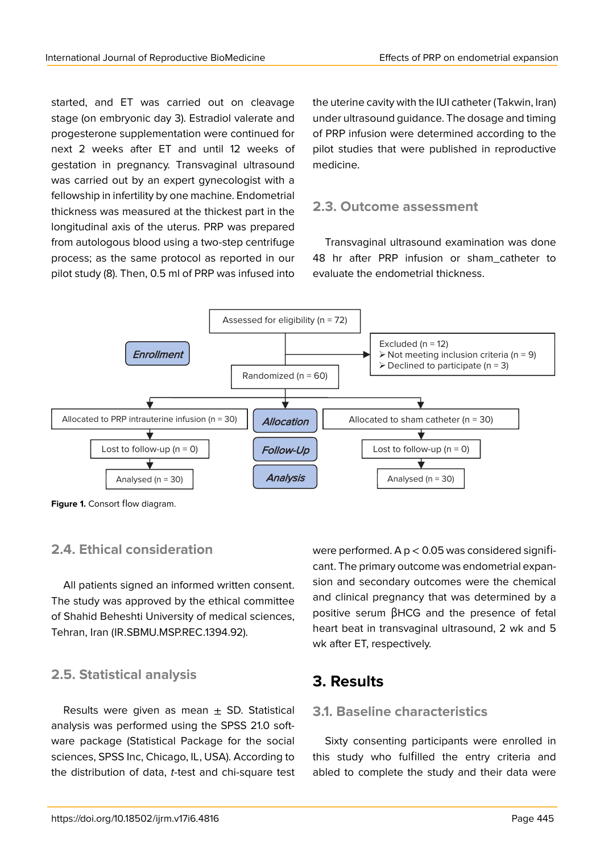started, and ET was carried out on cleavage stage (on embryonic day 3). Estradiol valerate and progesterone supplementation were continued for next 2 weeks after ET and until 12 weeks of gestation in pregnancy. Transvaginal ultrasound was carried out by an expert gynecologist with a fellowship in infertility by one machine. Endometrial thickness was measured at the thickest part in the longitudinal axis of the uterus. PRP was prepared from autologous blood using a two-step centrifuge process; as the same protocol as reported in our pilot study (8). Then, 0.5 ml of PRP was infused into

the uterine cavity with the IUI catheter (Takwin, Iran) under ultrasound guidance. The dosage and timing of PRP infusion were determined according to the pilot studies that were published in reproductive medicine.

### **2.3. Outcome assessment**

Transvaginal ultrasound examination was done 48 hr after PRP infusion or sham\_catheter to evaluate the endometrial thickness.



**Figure 1.** Consort flow diagram.

### **2.4. Ethical consideration**

All patients signed an informed written consent. The study was approved by the ethical committee of Shahid Beheshti University of medical sciences, Tehran, Iran (IR.SBMU.MSP.REC.1394.92).

### **2.5. Statistical analysis**

Results were given as mean  $\pm$  SD. Statistical analysis was performed using the SPSS 21.0 software package (Statistical Package for the social sciences, SPSS Inc, Chicago, IL, USA). According to the distribution of data, *t*-test and chi-square test

were performed. A  $p < 0.05$  was considered significant. The primary outcome was endometrial expansion and secondary outcomes were the chemical and clinical pregnancy that was determined by a positive serum βHCG and the presence of fetal heart beat in transvaginal ultrasound, 2 wk and 5 wk after ET, respectively.

## **3. Results**

### **3.1. Baseline characteristics**

Sixty consenting participants were enrolled in this study who fulfilled the entry criteria and abled to complete the study and their data were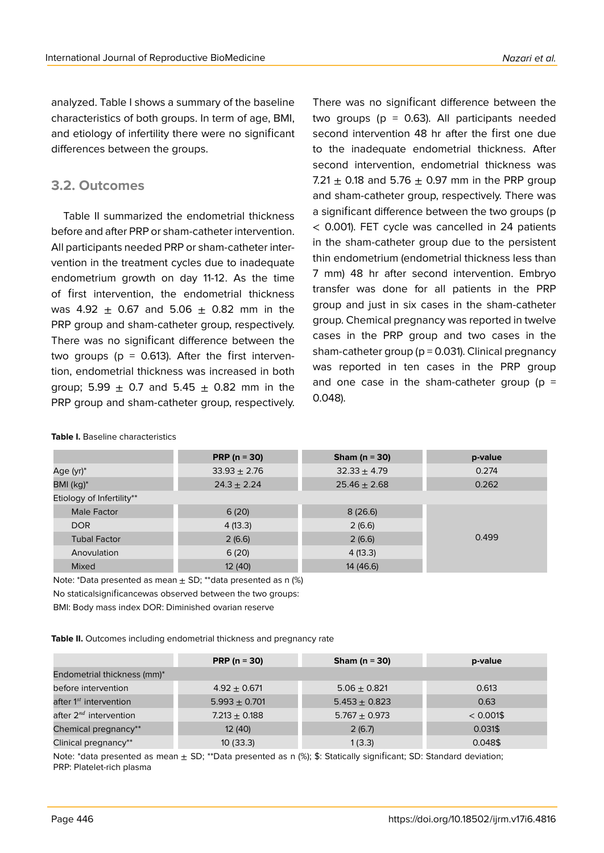analyzed. Table I shows a summary of the baseline characteristics of both groups. In term of age, BMI, and etiology of infertility there were no significant differences between the groups.

### **3.2. Outcomes**

Table II summarized the endometrial thickness before and after PRP or sham-catheter intervention. All participants needed PRP or sham-catheter intervention in the treatment cycles due to inadequate endometrium growth on day 11-12. As the time of first intervention, the endometrial thickness was 4.92  $\pm$  0.67 and 5.06  $\pm$  0.82 mm in the PRP group and sham-catheter group, respectively. There was no significant difference between the two groups ( $p = 0.613$ ). After the first intervention, endometrial thickness was increased in both group; 5.99  $\pm$  0.7 and 5.45  $\pm$  0.82 mm in the PRP group and sham-catheter group, respectively.

There was no significant difference between the two groups ( $p = 0.63$ ). All participants needed second intervention 48 hr after the first one due to the inadequate endometrial thickness. After second intervention, endometrial thickness was 7.21  $\pm$  0.18 and 5.76  $\pm$  0.97 mm in the PRP group and sham-catheter group, respectively. There was a significant difference between the two groups (p < 0.001). FET cycle was cancelled in 24 patients in the sham-catheter group due to the persistent thin endometrium (endometrial thickness less than 7 mm) 48 hr after second intervention. Embryo transfer was done for all patients in the PRP group and just in six cases in the sham-catheter group. Chemical pregnancy was reported in twelve cases in the PRP group and two cases in the sham-catheter group ( $p = 0.031$ ). Clinical pregnancy was reported in ten cases in the PRP group and one case in the sham-catheter group ( $p =$ 0.048).

|                           | PRP ( $n = 30$ ) | Sham ( $n = 30$ ) | p-value |
|---------------------------|------------------|-------------------|---------|
| Age (yr)*                 | $33.93 \pm 2.76$ | $32.33 \pm 4.79$  | 0.274   |
| BMI (kg)*                 | $24.3 \pm 2.24$  | $25.46 \pm 2.68$  | 0.262   |
| Etiology of Infertility** |                  |                   |         |
| Male Factor               | 6(20)            | 8(26.6)           |         |
| <b>DOR</b>                | 4(13.3)          | 2(6.6)            |         |
| <b>Tubal Factor</b>       | 2(6.6)           | 2(6.6)            | 0.499   |
| Anovulation               | 6(20)            | 4(13.3)           |         |
| Mixed                     | 12 (40)          | 14 (46.6)         |         |

#### **Table I.** Baseline characteristics

Note: \*Data presented as mean  $\pm$  SD; \*\*data presented as n (%)

No staticalsignificancewas observed between the two groups:

BMI: Body mass index DOR: Diminished ovarian reserve

**Table II.** Outcomes including endometrial thickness and pregnancy rate

|                                    | PRP ( $n = 30$ )  | Sham ( $n = 30$ ) | p-value      |
|------------------------------------|-------------------|-------------------|--------------|
| Endometrial thickness (mm)*        |                   |                   |              |
| before intervention                | $4.92 \pm 0.671$  | $5.06 \pm 0.821$  | 0.613        |
| after 1 <sup>st</sup> intervention | $5.993 \pm 0.701$ | $5.453 \pm 0.823$ | 0.63         |
| after 2 <sup>nd</sup> intervention | $7.213 + 0.188$   | $5.767 + 0.973$   | $< 0.001$ \$ |
| Chemical pregnancy**               | 12 (40)           | 2(6.7)            | 0.031\$      |
| Clinical pregnancy**               | 10(33.3)          | 1(3.3)            | 0.048\$      |

Note: \*data presented as mean  $\pm$  SD; \*\*Data presented as n (%); \$: Statically significant; SD: Standard deviation; PRP: Platelet-rich plasma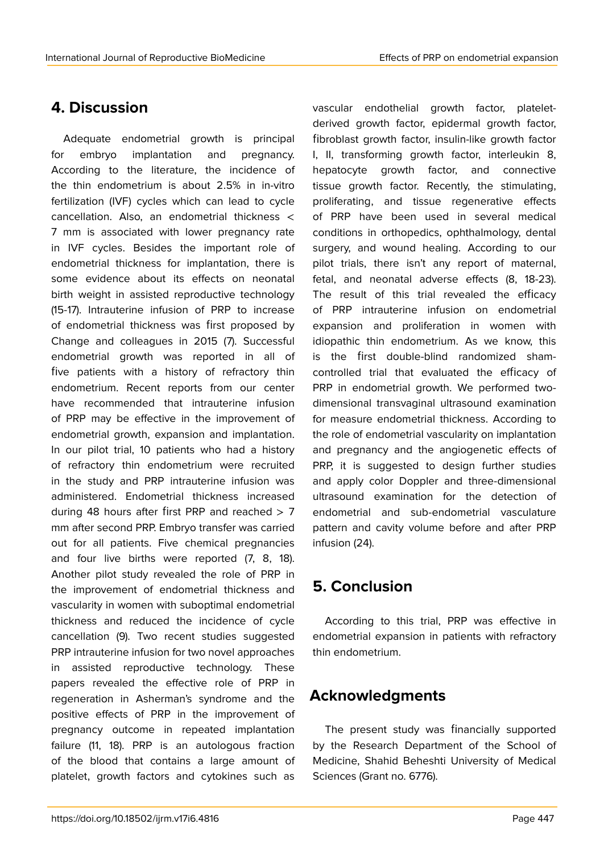## **4. Discussion**

Adequate endometrial growth is principal for embryo implantation and pregnancy. According to the literature, the incidence of the thin endometrium is about 2.5% in in-vitro fertilization (IVF) cycles which can lead to cycle cancellation. Also, an endometrial thickness < 7 mm is associated with lower pregnancy rate in IVF cycles. Besides the important role of endometrial thickness for implantation, there is some evidence about its effects on neonatal birth weight in assisted reproductive technology (15-17). Intrauterine infusion of PRP to increase of endometrial thickness was first proposed by Change and colleagues in 2015 (7). Successful endometrial growth was reported in all of five patients with a history of refractory thin endometrium. Recent reports from our center have recommended that intrauterine infusion of PRP may be effective in the improvement of endometrial growth, expansion and implantation. In our pilot trial, 10 patients who had a history of refractory thin endometrium were recruited in the study and PRP intrauterine infusion was administered. Endometrial thickness increased during 48 hours after first PRP and reached  $> 7$ mm after second PRP. Embryo transfer was carried out for all patients. Five chemical pregnancies and four live births were reported (7, 8, 18). Another pilot study revealed the role of PRP in the improvement of endometrial thickness and vascularity in women with suboptimal endometrial thickness and reduced the incidence of cycle cancellation (9). Two recent studies suggested PRP intrauterine infusion for two novel approaches in assisted reproductive technology. These papers revealed the effective role of PRP in regeneration in Asherman's syndrome and the positive effects of PRP in the improvement of pregnancy outcome in repeated implantation failure (11, 18). PRP is an autologous fraction of the blood that contains a large amount of platelet, growth factors and cytokines such as

vascular endothelial growth factor, plateletderived growth factor, epidermal growth factor, fibroblast growth factor, insulin-like growth factor I, II, transforming growth factor, interleukin 8, hepatocyte growth factor, and connective tissue growth factor. Recently, the stimulating, proliferating, and tissue regenerative effects of PRP have been used in several medical conditions in orthopedics, ophthalmology, dental surgery, and wound healing. According to our pilot trials, there isn't any report of maternal, fetal, and neonatal adverse effects (8, 18-23). The result of this trial revealed the efficacy of PRP intrauterine infusion on endometrial expansion and proliferation in women with idiopathic thin endometrium. As we know, this is the first double-blind randomized shamcontrolled trial that evaluated the efficacy of PRP in endometrial growth. We performed twodimensional transvaginal ultrasound examination for measure endometrial thickness. According to the role of endometrial vascularity on implantation and pregnancy and the angiogenetic effects of PRP, it is suggested to design further studies and apply color Doppler and three-dimensional ultrasound examination for the detection of endometrial and sub-endometrial vasculature pattern and cavity volume before and after PRP infusion (24).

## **5. Conclusion**

According to this trial, PRP was effective in endometrial expansion in patients with refractory thin endometrium.

## **Acknowledgments**

The present study was financially supported by the Research Department of the School of Medicine, Shahid Beheshti University of Medical Sciences (Grant no. 6776).